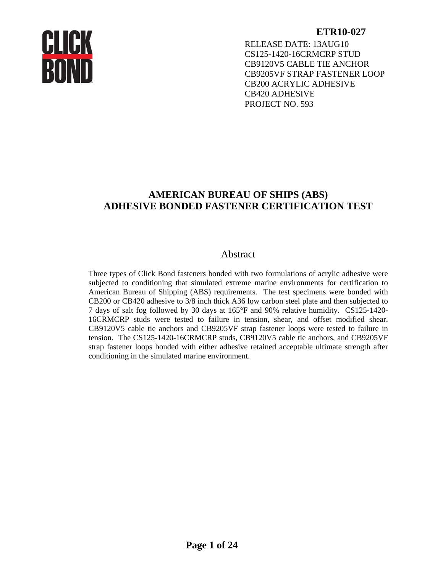RELEASE DATE: 13AUG10 CS125-1420-16CRMCRP STUD CB9120V5 CABLE TIE ANCHOR CB9205VF STRAP FASTENER LOOP CB200 ACRYLIC ADHESIVE CB420 ADHESIVE PROJECT NO. 593

# **AMERICAN BUREAU OF SHIPS (ABS) ADHESIVE BONDED FASTENER CERTIFICATION TEST**

# Abstract

Three types of Click Bond fasteners bonded with two formulations of acrylic adhesive were subjected to conditioning that simulated extreme marine environments for certification to American Bureau of Shipping (ABS) requirements. The test specimens were bonded with CB200 or CB420 adhesive to 3/8 inch thick A36 low carbon steel plate and then subjected to 7 days of salt fog followed by 30 days at 165°F and 90% relative humidity. CS125-1420- 16CRMCRP studs were tested to failure in tension, shear, and offset modified shear. CB9120V5 cable tie anchors and CB9205VF strap fastener loops were tested to failure in tension. The CS125-1420-16CRMCRP studs, CB9120V5 cable tie anchors, and CB9205VF strap fastener loops bonded with either adhesive retained acceptable ultimate strength after conditioning in the simulated marine environment.

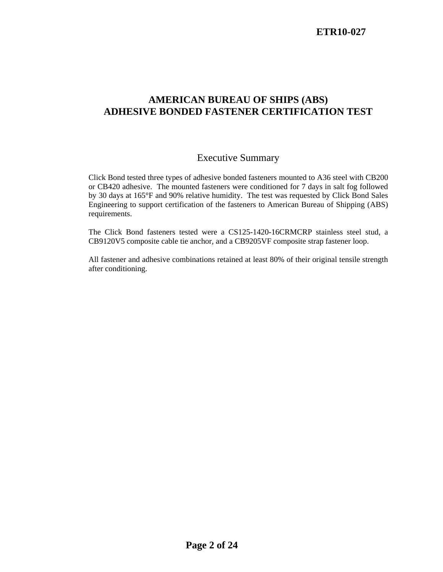# **AMERICAN BUREAU OF SHIPS (ABS) ADHESIVE BONDED FASTENER CERTIFICATION TEST**

# Executive Summary

Click Bond tested three types of adhesive bonded fasteners mounted to A36 steel with CB200 or CB420 adhesive. The mounted fasteners were conditioned for 7 days in salt fog followed by 30 days at 165°F and 90% relative humidity. The test was requested by Click Bond Sales Engineering to support certification of the fasteners to American Bureau of Shipping (ABS) requirements.

The Click Bond fasteners tested were a CS125-1420-16CRMCRP stainless steel stud, a CB9120V5 composite cable tie anchor, and a CB9205VF composite strap fastener loop.

All fastener and adhesive combinations retained at least 80% of their original tensile strength after conditioning.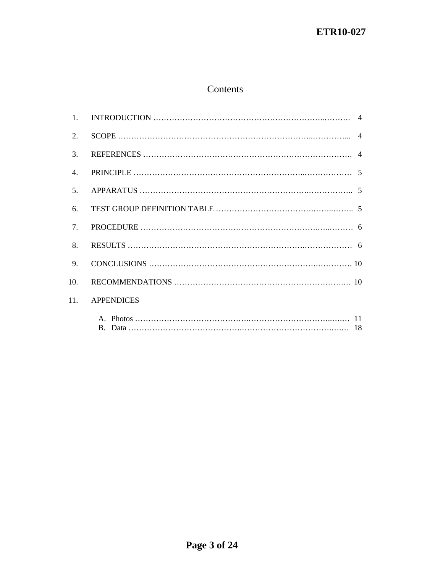# Contents

| $\mathbf{1}$ .   |                   |
|------------------|-------------------|
| 2.               |                   |
| 3.               |                   |
| $\overline{4}$ . |                   |
| 5.               |                   |
| 6.               |                   |
| $\tau$           |                   |
| 8.               |                   |
| 9.               |                   |
| 10.              |                   |
| 11.              | <b>APPENDICES</b> |
|                  |                   |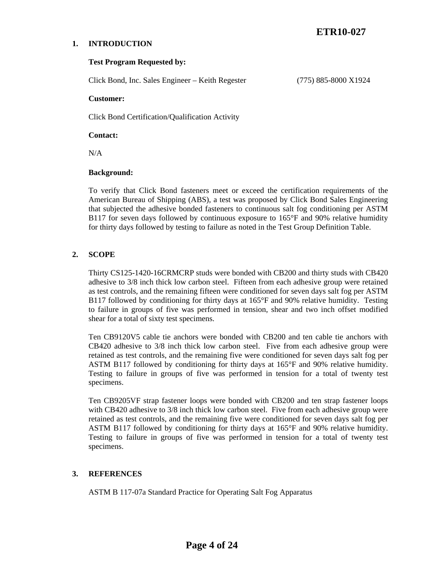### **1. INTRODUCTION**

### **Test Program Requested by:**

Click Bond, Inc. Sales Engineer – Keith Regester (775) 885-8000 X1924

#### **Customer:**

Click Bond Certification/Qualification Activity

**Contact:** 

N/A

### **Background:**

To verify that Click Bond fasteners meet or exceed the certification requirements of the American Bureau of Shipping (ABS), a test was proposed by Click Bond Sales Engineering that subjected the adhesive bonded fasteners to continuous salt fog conditioning per ASTM B117 for seven days followed by continuous exposure to 165°F and 90% relative humidity for thirty days followed by testing to failure as noted in the Test Group Definition Table.

# **2. SCOPE**

Thirty CS125-1420-16CRMCRP studs were bonded with CB200 and thirty studs with CB420 adhesive to 3/8 inch thick low carbon steel. Fifteen from each adhesive group were retained as test controls, and the remaining fifteen were conditioned for seven days salt fog per ASTM B117 followed by conditioning for thirty days at 165°F and 90% relative humidity. Testing to failure in groups of five was performed in tension, shear and two inch offset modified shear for a total of sixty test specimens.

Ten CB9120V5 cable tie anchors were bonded with CB200 and ten cable tie anchors with CB420 adhesive to 3/8 inch thick low carbon steel. Five from each adhesive group were retained as test controls, and the remaining five were conditioned for seven days salt fog per ASTM B117 followed by conditioning for thirty days at 165°F and 90% relative humidity. Testing to failure in groups of five was performed in tension for a total of twenty test specimens.

Ten CB9205VF strap fastener loops were bonded with CB200 and ten strap fastener loops with CB420 adhesive to 3/8 inch thick low carbon steel. Five from each adhesive group were retained as test controls, and the remaining five were conditioned for seven days salt fog per ASTM B117 followed by conditioning for thirty days at 165°F and 90% relative humidity. Testing to failure in groups of five was performed in tension for a total of twenty test specimens.

### **3. REFERENCES**

ASTM B 117-07a Standard Practice for Operating Salt Fog Apparatus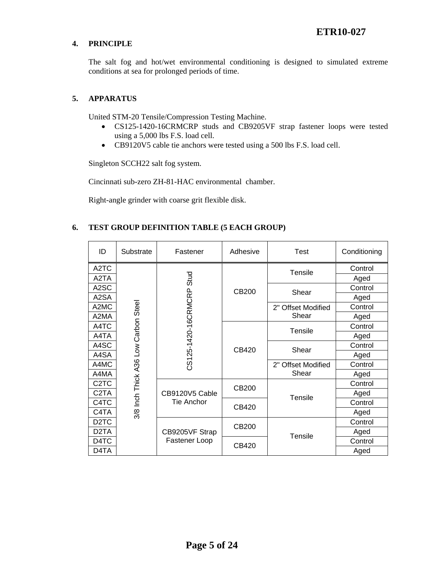# **4. PRINCIPLE**

The salt fog and hot/wet environmental conditioning is designed to simulated extreme conditions at sea for prolonged periods of time.

### **5. APPARATUS**

United STM-20 Tensile/Compression Testing Machine.

- CS125-1420-16CRMCRP studs and CB9205VF strap fastener loops were tested using a 5,000 lbs F.S. load cell.
- CB9120V5 cable tie anchors were tested using a 500 lbs F.S. load cell.

Singleton SCCH22 salt fog system.

Cincinnati sub-zero ZH-81-HAC environmental chamber.

Right-angle grinder with coarse grit flexible disk.

# **6. TEST GROUP DEFINITION TABLE (5 EACH GROUP)**

| ID                | Substrate | Fastener                                                                   | Adhesive | Test                                                   | Conditioning |
|-------------------|-----------|----------------------------------------------------------------------------|----------|--------------------------------------------------------|--------------|
| A <sub>2</sub> TC |           |                                                                            |          | Tensile                                                | Control      |
| A2TA              |           | Stud                                                                       |          |                                                        | Aged         |
| A2SC              |           |                                                                            | CB200    | Shear                                                  | Control      |
| A2SA              |           |                                                                            |          |                                                        | Aged         |
| A2MC              |           |                                                                            |          | 2" Offset Modified                                     | Control      |
| A2MA              |           |                                                                            |          | Shear                                                  | Aged         |
| A4TC              |           |                                                                            |          | <b>Tensile</b>                                         | Control      |
| A4TA              |           | CS125-1420-16CRMCRP                                                        |          |                                                        | Aged         |
| A4SC              |           |                                                                            | CB420    | Shear                                                  | Control      |
| A4SA              |           |                                                                            |          |                                                        | Aged         |
| A4MC              |           |                                                                            |          | 2" Offset Modified<br>Shear<br>CB200<br><b>Tensile</b> | Control      |
| A4MA              |           |                                                                            |          |                                                        | Aged         |
| C <sub>2</sub> TC |           |                                                                            |          |                                                        | Control      |
| C2TA              |           | 3/8 Inch Thick A36 Low Carbon Steel<br>CB9120V5 Cable<br><b>Tie Anchor</b> |          |                                                        | Aged         |
| C4TC              |           |                                                                            | CB420    |                                                        | Control      |
| C4TA              |           |                                                                            |          |                                                        | Aged         |
| D <sub>2</sub> TC |           |                                                                            | CB200    | Tensile                                                | Control      |
| D <sub>2</sub> TA |           | CB9205VF Strap                                                             |          |                                                        | Aged         |
| D <sub>4</sub> TC |           | Fastener Loop                                                              | CB420    |                                                        | Control      |
| D <sub>4</sub> TA |           |                                                                            |          |                                                        | Aged         |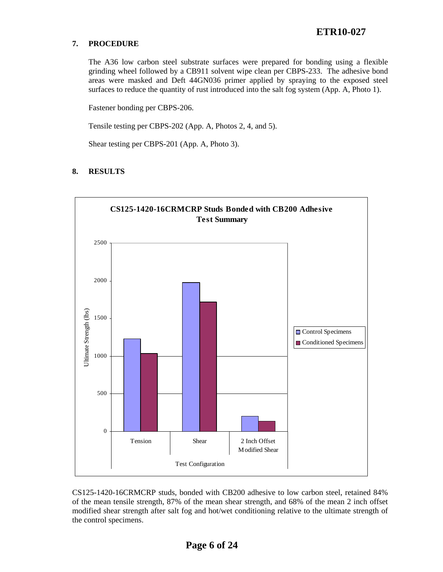# **7. PROCEDURE**

The A36 low carbon steel substrate surfaces were prepared for bonding using a flexible grinding wheel followed by a CB911 solvent wipe clean per CBPS-233. The adhesive bond areas were masked and Deft 44GN036 primer applied by spraying to the exposed steel surfaces to reduce the quantity of rust introduced into the salt fog system (App. A, Photo 1).

Fastener bonding per CBPS-206.

Tensile testing per CBPS-202 (App. A, Photos 2, 4, and 5).

Shear testing per CBPS-201 (App. A, Photo 3).

# **8. RESULTS**



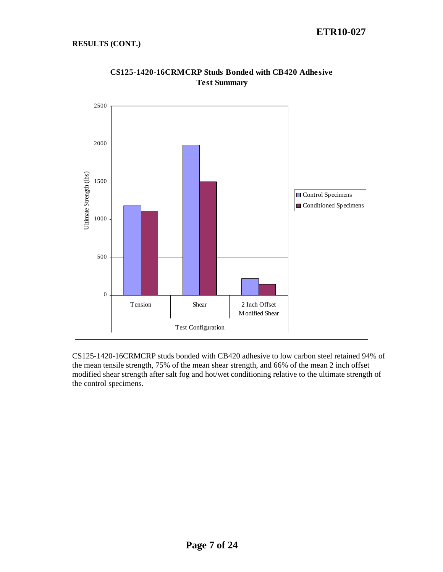# **RESULTS (CONT.)**



CS125-1420-16CRMCRP studs bonded with CB420 adhesive to low carbon steel retained 94% of the mean tensile strength, 75% of the mean shear strength, and 66% of the mean 2 inch offset modified shear strength after salt fog and hot/wet conditioning relative to the ultimate strength of the control specimens.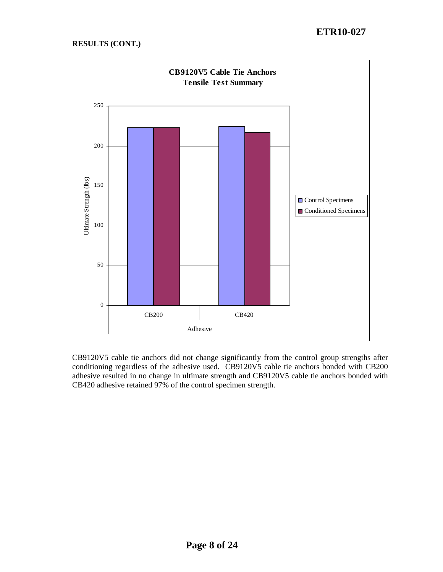# **RESULTS (CONT.)**



CB9120V5 cable tie anchors did not change significantly from the control group strengths after conditioning regardless of the adhesive used. CB9120V5 cable tie anchors bonded with CB200 adhesive resulted in no change in ultimate strength and CB9120V5 cable tie anchors bonded with CB420 adhesive retained 97% of the control specimen strength.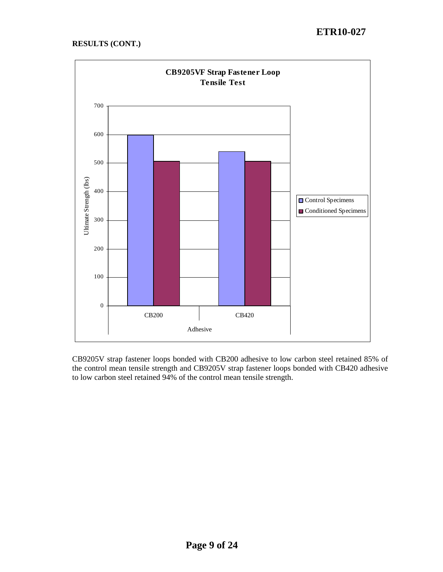

CB9205V strap fastener loops bonded with CB200 adhesive to low carbon steel retained 85% of the control mean tensile strength and CB9205V strap fastener loops bonded with CB420 adhesive to low carbon steel retained 94% of the control mean tensile strength.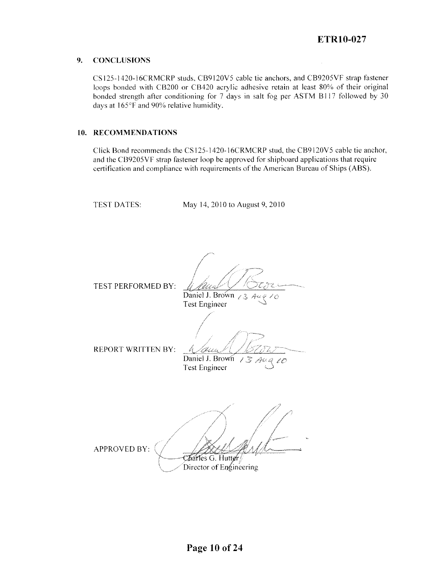#### 9. **CONCLUSIONS**

CS125-1420-16CRMCRP studs, CB9120V5 cable tie anchors, and CB9205VF strap fastener loops bonded with CB200 or CB420 acrylic adhesive retain at least 80% of their original bonded strength after conditioning for 7 days in salt fog per ASTM B117 followed by 30 days at 165°F and 90% relative humidity.

### 10. RECOMMENDATIONS

Click Bond recommends the CS125-1420-16CRMCRP stud, the CB9120V5 cable tie anchor, and the CB9205VF strap fastener loop be approved for shipboard applications that require certification and compliance with requirements of the American Bureau of Ships (ABS).

**TEST DATES:** 

May 14, 2010 to August 9, 2010

TEST PERFORMED BY:

C

Daniel J. Brown  $\angle$  3 **Test Engineer** 

**REPORT WRITTEN BY:** 

(E.S. 7 s Daniel J. Brown  $\mathbb{Z}^{\mathbb{Z}^n}$ 

**Test Engineer** 

APPROVED BY: Charles G. Hutter Director of Engineering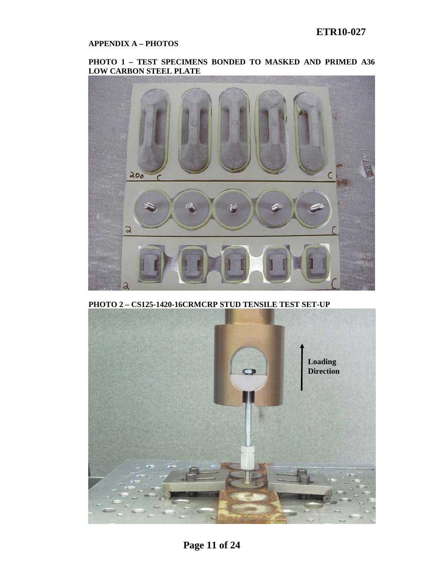# **APPENDIX A – PHOTOS**

### **PHOTO 1 – TEST SPECIMENS BONDED TO MASKED AND PRIMED A36 LOW CARBON STEEL PLATE**



**PHOTO 2 – CS125-1420-16CRMCRP STUD TENSILE TEST SET-UP** 

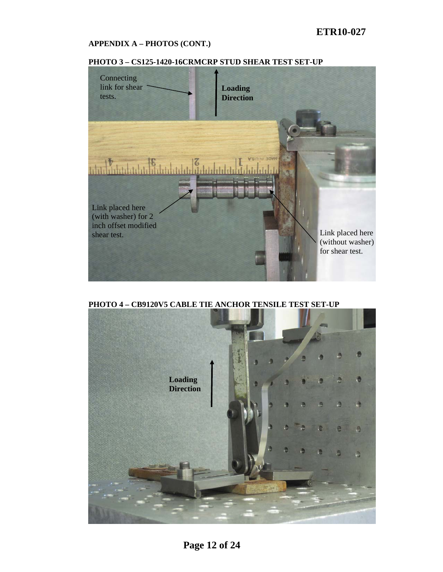# **APPENDIX A – PHOTOS (CONT.)**





**PHOTO 4 – CB9120V5 CABLE TIE ANCHOR TENSILE TEST SET-UP** 

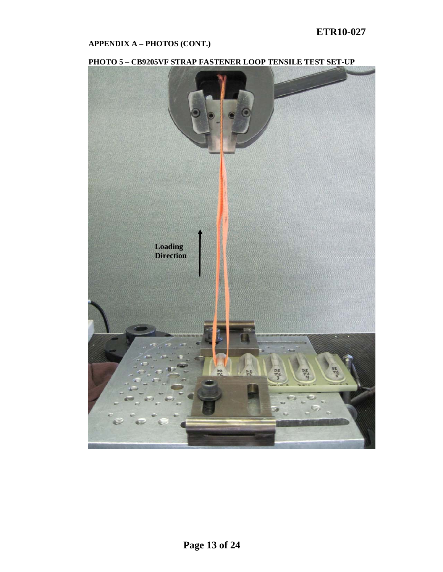# **APPENDIX A – PHOTOS (CONT.)**



# **PHOTO 5 – CB9205VF STRAP FASTENER LOOP TENSILE TEST SET-UP**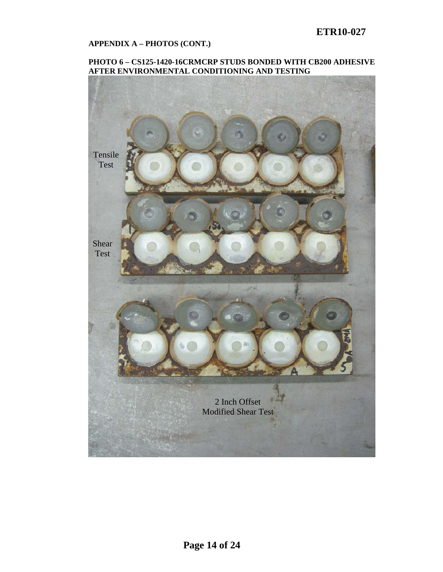### **APPENDIX A – PHOTOS (CONT.)**

### **PHOTO 6 – CS125-1420-16CRMCRP STUDS BONDED WITH CB200 ADHESIVE AFTER ENVIRONMENTAL CONDITIONING AND TESTING**

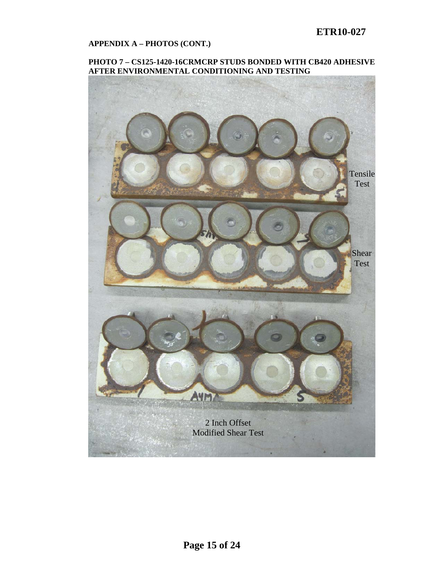### **APPENDIX A – PHOTOS (CONT.)**

### **PHOTO 7 – CS125-1420-16CRMCRP STUDS BONDED WITH CB420 ADHESIVE AFTER ENVIRONMENTAL CONDITIONING AND TESTING**

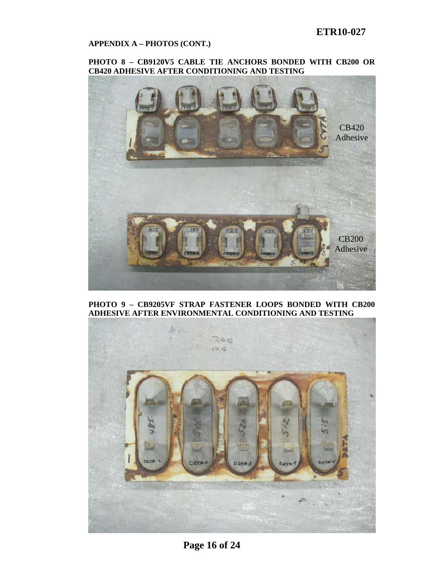### **APPENDIX A – PHOTOS (CONT.)**

### **PHOTO 8 – CB9120V5 CABLE TIE ANCHORS BONDED WITH CB200 OR CB420 ADHESIVE AFTER CONDITIONING AND TESTING**



**PHOTO 9 – CB9205VF STRAP FASTENER LOOPS BONDED WITH CB200 ADHESIVE AFTER ENVIRONMENTAL CONDITIONING AND TESTING** 



**Page 16 of 24**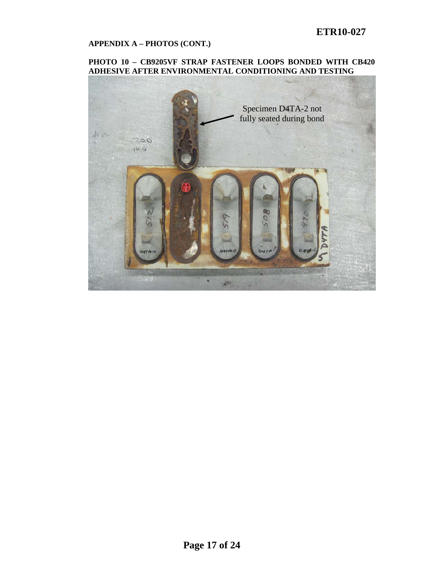### **APPENDIX A – PHOTOS (CONT.)**

### **PHOTO 10 – CB9205VF STRAP FASTENER LOOPS BONDED WITH CB420 ADHESIVE AFTER ENVIRONMENTAL CONDITIONING AND TESTING**

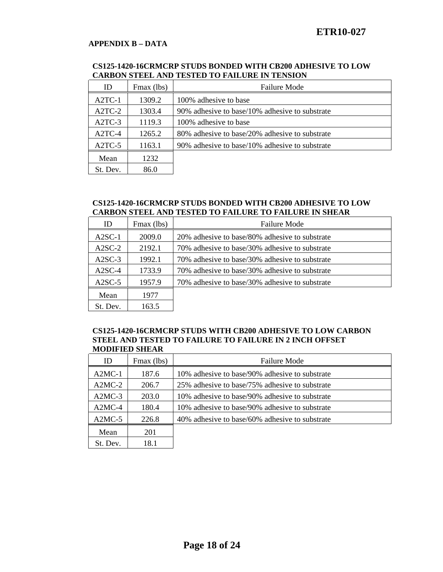# **APPENDIX B – DATA**

#### **CS125-1420-16CRMCRP STUDS BONDED WITH CB200 ADHESIVE TO LOW CARBON STEEL AND TESTED TO FAILURE IN TENSION**

| ID                  | Fmax (lbs) | <b>Failure Mode</b>                            |
|---------------------|------------|------------------------------------------------|
| $A2TC-1$            | 1309.2     | 100% adhesive to base                          |
| A2TC-2              | 1303.4     | 90% adhesive to base/10% adhesive to substrate |
| A <sub>2</sub> TC-3 | 1119.3     | 100% adhesive to base                          |
| $A2TC-4$            | 1265.2     | 80% adhesive to base/20% adhesive to substrate |
| $A2TC-5$            | 1163.1     | 90% adhesive to base/10% adhesive to substrate |
| Mean                | 1232       |                                                |
| St. Dev.            | 86.0       |                                                |

### **CS125-1420-16CRMCRP STUDS BONDED WITH CB200 ADHESIVE TO LOW CARBON STEEL AND TESTED TO FAILURE TO FAILURE IN SHEAR**

| ID       | Fmax (lbs) | <b>Failure Mode</b>                            |
|----------|------------|------------------------------------------------|
| $A2SC-1$ | 2009.0     | 20% adhesive to base/80% adhesive to substrate |
| $A2SC-2$ | 2192.1     | 70% adhesive to base/30% adhesive to substrate |
| $A2SC-3$ | 1992.1     | 70% adhesive to base/30% adhesive to substrate |
| $A2SC-4$ | 1733.9     | 70% adhesive to base/30% adhesive to substrate |
| $A2SC-5$ | 1957.9     | 70% adhesive to base/30% adhesive to substrate |
| Mean     | 1977       |                                                |
| St. Dev. | 163.5      |                                                |

#### **CS125-1420-16CRMCRP STUDS WITH CB200 ADHESIVE TO LOW CARBON STEEL AND TESTED TO FAILURE TO FAILURE IN 2 INCH OFFSET MODIFIED SHEAR**

| ID       | Fmax (lbs) | <b>Failure Mode</b>                              |
|----------|------------|--------------------------------------------------|
|          |            |                                                  |
| $A2MC-1$ | 187.6      | 10% adhesive to base/90% adhesive to substrate   |
| $A2MC-2$ | 206.7      | 25% adhesive to base/75% adhesive to substrate   |
| $A2MC-3$ | 203.0      | 10\% adhesive to base/90\% adhesive to substrate |
| $A2MC-4$ | 180.4      | 10% adhesive to base/90% adhesive to substrate   |
| $A2MC-5$ | 226.8      | 40% adhesive to base/60% adhesive to substrate   |
| Mean     | 201        |                                                  |
| St. Dev. | 18.1       |                                                  |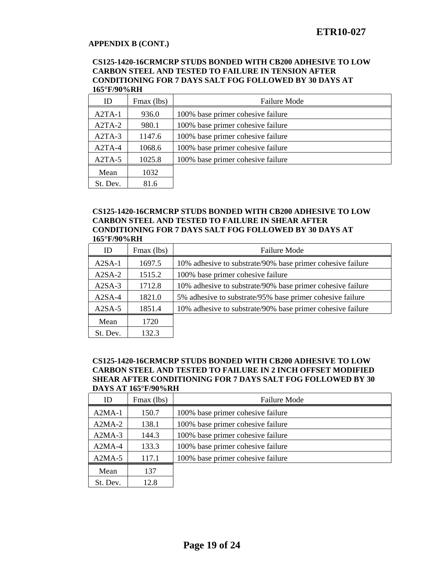#### **CS125-1420-16CRMCRP STUDS BONDED WITH CB200 ADHESIVE TO LOW CARBON STEEL AND TESTED TO FAILURE IN TENSION AFTER CONDITIONING FOR 7 DAYS SALT FOG FOLLOWED BY 30 DAYS AT 165°F/90%RH**

| ID       | Fmax (lbs) | <b>Failure Mode</b>               |
|----------|------------|-----------------------------------|
| $A2TA-1$ | 936.0      | 100% base primer cohesive failure |
| $A2TA-2$ | 980.1      | 100% base primer cohesive failure |
| $A2TA-3$ | 1147.6     | 100% base primer cohesive failure |
| $A2TA-4$ | 1068.6     | 100% base primer cohesive failure |
| $A2TA-5$ | 1025.8     | 100% base primer cohesive failure |
| Mean     | 1032       |                                   |
| St. Dev. | 81.6       |                                   |

### **CS125-1420-16CRMCRP STUDS BONDED WITH CB200 ADHESIVE TO LOW CARBON STEEL AND TESTED TO FAILURE IN SHEAR AFTER CONDITIONING FOR 7 DAYS SALT FOG FOLLOWED BY 30 DAYS AT 165°F/90%RH**

| ID       | Fmax (lbs) | <b>Failure Mode</b>                                        |
|----------|------------|------------------------------------------------------------|
| $A2SA-1$ | 1697.5     | 10% adhesive to substrate/90% base primer cohesive failure |
| $A2SA-2$ | 1515.2     | 100% base primer cohesive failure                          |
| $A2SA-3$ | 1712.8     | 10% adhesive to substrate/90% base primer cohesive failure |
| $A2SA-4$ | 1821.0     | 5% adhesive to substrate/95% base primer cohesive failure  |
| $A2SA-5$ | 1851.4     | 10% adhesive to substrate/90% base primer cohesive failure |
| Mean     | 1720       |                                                            |
| St. Dev. | 132.3      |                                                            |

### **CS125-1420-16CRMCRP STUDS BONDED WITH CB200 ADHESIVE TO LOW CARBON STEEL AND TESTED TO FAILURE IN 2 INCH OFFSET MODIFIED SHEAR AFTER CONDITIONING FOR 7 DAYS SALT FOG FOLLOWED BY 30 DAYS AT 165°F/90%RH**

| ID       | Fmax (lbs) | <b>Failure Mode</b>               |
|----------|------------|-----------------------------------|
| $A2MA-1$ | 150.7      | 100% base primer cohesive failure |
| $A2MA-2$ | 138.1      | 100% base primer cohesive failure |
| $A2MA-3$ | 144.3      | 100% base primer cohesive failure |
| $A2MA-4$ | 133.3      | 100% base primer cohesive failure |
| $A2MA-5$ | 117.1      | 100% base primer cohesive failure |
| Mean     | 137        |                                   |
| St. Dev. | 12.8       |                                   |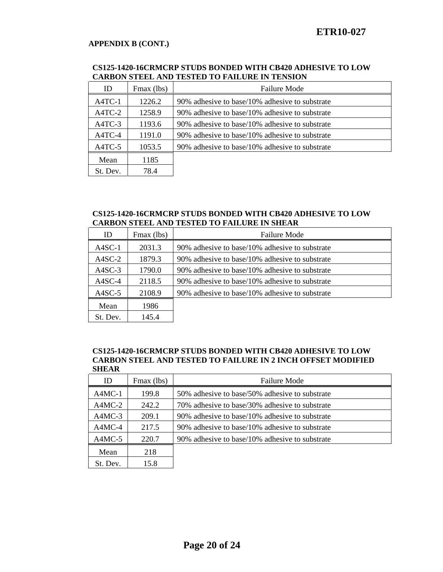| <u>Charbott D'Elbert Mar Ted Elbert To Fine Carl Martin Bellon (</u> |            |                                                |  |
|----------------------------------------------------------------------|------------|------------------------------------------------|--|
| ID                                                                   | Fmax (lbs) | <b>Failure Mode</b>                            |  |
| $A4TC-1$                                                             | 1226.2     | 90% adhesive to base/10% adhesive to substrate |  |
| $A4TC-2$                                                             | 1258.9     | 90% adhesive to base/10% adhesive to substrate |  |
| A4TC-3                                                               | 1193.6     | 90% adhesive to base/10% adhesive to substrate |  |
| A4TC-4                                                               | 1191.0     | 90% adhesive to base/10% adhesive to substrate |  |
| A4TC-5                                                               | 1053.5     | 90% adhesive to base/10% adhesive to substrate |  |
| Mean                                                                 | 1185       |                                                |  |
| St. Dev.                                                             | 78.4       |                                                |  |

### **CS125-1420-16CRMCRP STUDS BONDED WITH CB420 ADHESIVE TO LOW CARBON STEEL AND TESTED TO FAILURE IN TENSION**

### **CS125-1420-16CRMCRP STUDS BONDED WITH CB420 ADHESIVE TO LOW CARBON STEEL AND TESTED TO FAILURE IN SHEAR**

| ID       | Fmax (lbs) | <b>Failure Mode</b>                            |
|----------|------------|------------------------------------------------|
| $A4SC-1$ | 2031.3     | 90% adhesive to base/10% adhesive to substrate |
| $A4SC-2$ | 1879.3     | 90% adhesive to base/10% adhesive to substrate |
| $A4SC-3$ | 1790.0     | 90% adhesive to base/10% adhesive to substrate |
| $A4SC-4$ | 2118.5     | 90% adhesive to base/10% adhesive to substrate |
| $A4SC-5$ | 2108.9     | 90% adhesive to base/10% adhesive to substrate |
| Mean     | 1986       |                                                |
| St. Dev. | 145.4      |                                                |

### **CS125-1420-16CRMCRP STUDS BONDED WITH CB420 ADHESIVE TO LOW CARBON STEEL AND TESTED TO FAILURE IN 2 INCH OFFSET MODIFIED SHEAR**

| ID       | Fmax (lbs) | <b>Failure Mode</b>                            |
|----------|------------|------------------------------------------------|
| $A4MC-1$ | 199.8      | 50% adhesive to base/50% adhesive to substrate |
| $A4MC-2$ | 242.2      | 70% adhesive to base/30% adhesive to substrate |
| $A4MC-3$ | 209.1      | 90% adhesive to base/10% adhesive to substrate |
| A4MC-4   | 217.5      | 90% adhesive to base/10% adhesive to substrate |
| $A4MC-5$ | 220.7      | 90% adhesive to base/10% adhesive to substrate |
| Mean     | 218        |                                                |
| St. Dev. | 15.8       |                                                |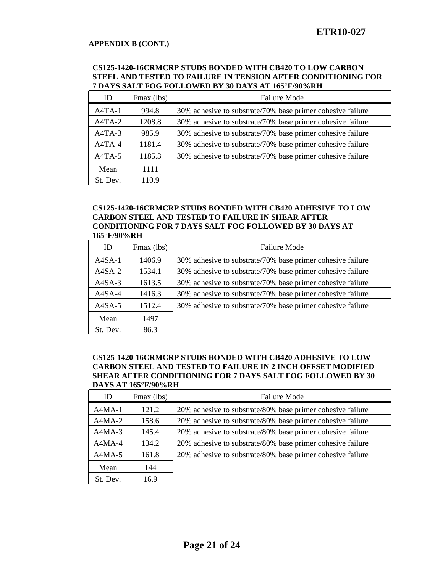### **CS125-1420-16CRMCRP STUDS BONDED WITH CB420 TO LOW CARBON STEEL AND TESTED TO FAILURE IN TENSION AFTER CONDITIONING FOR 7 DAYS SALT FOG FOLLOWED BY 30 DAYS AT 165°F/90%RH**

| ID       | Fmax (lbs) | <b>Failure Mode</b>                                        |
|----------|------------|------------------------------------------------------------|
| $A4TA-1$ | 994.8      | 30% adhesive to substrate/70% base primer cohesive failure |
| A4TA-2   | 1208.8     | 30% adhesive to substrate/70% base primer cohesive failure |
| $A4TA-3$ | 985.9      | 30% adhesive to substrate/70% base primer cohesive failure |
| A4TA-4   | 1181.4     | 30% adhesive to substrate/70% base primer cohesive failure |
| A4TA-5   | 1185.3     | 30% adhesive to substrate/70% base primer cohesive failure |
| Mean     | 1111       |                                                            |
| St. Dev. | 110.9      |                                                            |

#### **CS125-1420-16CRMCRP STUDS BONDED WITH CB420 ADHESIVE TO LOW CARBON STEEL AND TESTED TO FAILURE IN SHEAR AFTER CONDITIONING FOR 7 DAYS SALT FOG FOLLOWED BY 30 DAYS AT 165°F/90%RH**

| ID       | Fmax (lbs) | <b>Failure Mode</b>                                        |
|----------|------------|------------------------------------------------------------|
| $A4SA-1$ | 1406.9     | 30% adhesive to substrate/70% base primer cohesive failure |
| A4SA-2   | 1534.1     | 30% adhesive to substrate/70% base primer cohesive failure |
| $A4SA-3$ | 1613.5     | 30% adhesive to substrate/70% base primer cohesive failure |
| $A4SA-4$ | 1416.3     | 30% adhesive to substrate/70% base primer cohesive failure |
| A4SA-5   | 1512.4     | 30% adhesive to substrate/70% base primer cohesive failure |
| Mean     | 1497       |                                                            |
| St. Dev. | 86.3       |                                                            |

### **CS125-1420-16CRMCRP STUDS BONDED WITH CB420 ADHESIVE TO LOW CARBON STEEL AND TESTED TO FAILURE IN 2 INCH OFFSET MODIFIED SHEAR AFTER CONDITIONING FOR 7 DAYS SALT FOG FOLLOWED BY 30 DAYS AT 165°F/90%RH**

| ID       | Fmax (lbs) | <b>Failure Mode</b>                                        |
|----------|------------|------------------------------------------------------------|
| $A4MA-1$ | 121.2      | 20% adhesive to substrate/80% base primer cohesive failure |
| $A4MA-2$ | 158.6      | 20% adhesive to substrate/80% base primer cohesive failure |
| $A4MA-3$ | 145.4      | 20% adhesive to substrate/80% base primer cohesive failure |
| $A4MA-4$ | 134.2      | 20% adhesive to substrate/80% base primer cohesive failure |
| $A4MA-5$ | 161.8      | 20% adhesive to substrate/80% base primer cohesive failure |
| Mean     | 144        |                                                            |
| St. Dev. | 16.9       |                                                            |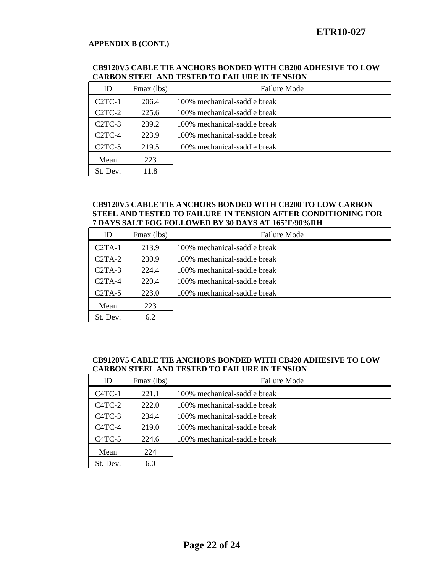### **CB9120V5 CABLE TIE ANCHORS BONDED WITH CB200 ADHESIVE TO LOW CARBON STEEL AND TESTED TO FAILURE IN TENSION**

| ID                  | Fmax (lbs) | <b>Failure Mode</b>          |
|---------------------|------------|------------------------------|
| $C2TC-1$            | 206.4      | 100% mechanical-saddle break |
| $C2TC-2$            | 225.6      | 100% mechanical-saddle break |
| C <sub>2</sub> TC-3 | 239.2      | 100% mechanical-saddle break |
| $C2TC-4$            | 223.9      | 100% mechanical-saddle break |
| C2TC-5              | 219.5      | 100% mechanical-saddle break |
| Mean                | 223        |                              |
| St. Dev.            | 11.8       |                              |

#### **CB9120V5 CABLE TIE ANCHORS BONDED WITH CB200 TO LOW CARBON STEEL AND TESTED TO FAILURE IN TENSION AFTER CONDITIONING FOR 7 DAYS SALT FOG FOLLOWED BY 30 DAYS AT 165°F/90%RH**

| ID       | Fmax (lbs) | <b>Failure Mode</b>          |
|----------|------------|------------------------------|
| $C2TA-1$ | 213.9      | 100% mechanical-saddle break |
| $C2TA-2$ | 230.9      | 100% mechanical-saddle break |
| $C2TA-3$ | 224.4      | 100% mechanical-saddle break |
| $C2TA-4$ | 220.4      | 100% mechanical-saddle break |
| $C2TA-5$ | 223.0      | 100% mechanical-saddle break |
| Mean     | 223        |                              |
| St. Dev. | 6.2        |                              |

### **CB9120V5 CABLE TIE ANCHORS BONDED WITH CB420 ADHESIVE TO LOW CARBON STEEL AND TESTED TO FAILURE IN TENSION**

| ID                              | Fmax (lbs) | <b>Failure Mode</b>          |
|---------------------------------|------------|------------------------------|
| $C4TC-1$                        | 221.1      | 100% mechanical-saddle break |
| C <sub>4</sub> TC <sub>-2</sub> | 222.0      | 100% mechanical-saddle break |
| C <sub>4</sub> TC <sub>-3</sub> | 234.4      | 100% mechanical-saddle break |
| $C4TC-4$                        | 219.0      | 100% mechanical-saddle break |
| $C4TC-5$                        | 224.6      | 100% mechanical-saddle break |
| Mean                            | 224        |                              |
| St. Dev.                        | 6.0        |                              |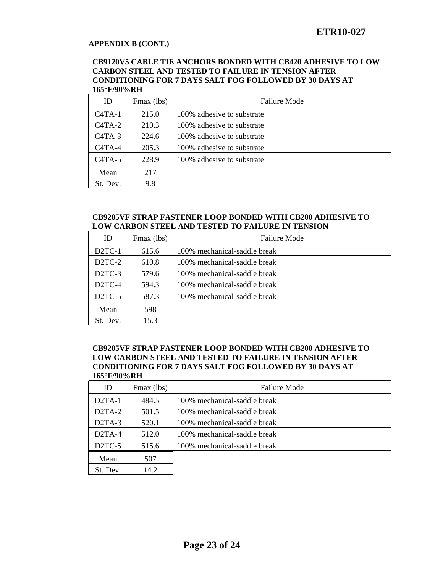### **APPENDIX B (CONT.)**

#### **CB9120V5 CABLE TIE ANCHORS BONDED WITH CB420 ADHESIVE TO LOW CARBON STEEL AND TESTED TO FAILURE IN TENSION AFTER CONDITIONING FOR 7 DAYS SALT FOG FOLLOWED BY 30 DAYS AT 165°F/90%RH**

| ID       | Fmax (lbs) | <b>Failure Mode</b>        |
|----------|------------|----------------------------|
| $C4TA-1$ | 215.0      | 100% adhesive to substrate |
| $C4TA-2$ | 210.3      | 100% adhesive to substrate |
| $C4TA-3$ | 224.6      | 100% adhesive to substrate |
| $C4TA-4$ | 205.3      | 100% adhesive to substrate |
| $C4TA-5$ | 228.9      | 100% adhesive to substrate |
| Mean     | 217        |                            |
| St. Dev. | 9.8        |                            |

### **CB9205VF STRAP FASTENER LOOP BONDED WITH CB200 ADHESIVE TO LOW CARBON STEEL AND TESTED TO FAILURE IN TENSION**

| ID                  | Fmax (lbs) | <b>Failure Mode</b>          |
|---------------------|------------|------------------------------|
| D <sub>2</sub> TC-1 | 615.6      | 100% mechanical-saddle break |
| D <sub>2</sub> TC-2 | 610.8      | 100% mechanical-saddle break |
| $D2TC-3$            | 579.6      | 100% mechanical-saddle break |
| $D2TC-4$            | 594.3      | 100% mechanical-saddle break |
| D <sub>2</sub> TC-5 | 587.3      | 100% mechanical-saddle break |
| Mean                | 598        |                              |
| St. Dev.            | 15.3       |                              |

#### **CB9205VF STRAP FASTENER LOOP BONDED WITH CB200 ADHESIVE TO LOW CARBON STEEL AND TESTED TO FAILURE IN TENSION AFTER CONDITIONING FOR 7 DAYS SALT FOG FOLLOWED BY 30 DAYS AT 165°F/90%RH**

| ID                  | Fmax (lbs) | <b>Failure Mode</b>          |
|---------------------|------------|------------------------------|
| $D2TA-1$            | 484.5      | 100% mechanical-saddle break |
| $D2TA-2$            | 501.5      | 100% mechanical-saddle break |
| D <sub>2</sub> TA-3 | 520.1      | 100% mechanical-saddle break |
| $D2TA-4$            | 512.0      | 100% mechanical-saddle break |
| D <sub>2</sub> TC-5 | 515.6      | 100% mechanical-saddle break |
| Mean                | 507        |                              |
| St. Dev.            | 14.2       |                              |